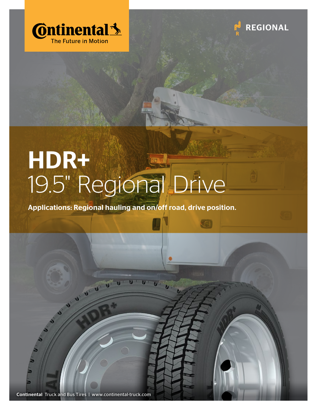



## HDR+ 19.5" Regional Drive

Applications: Regional hauling and on/off road, drive position.



 $\boldsymbol{\theta}^T$